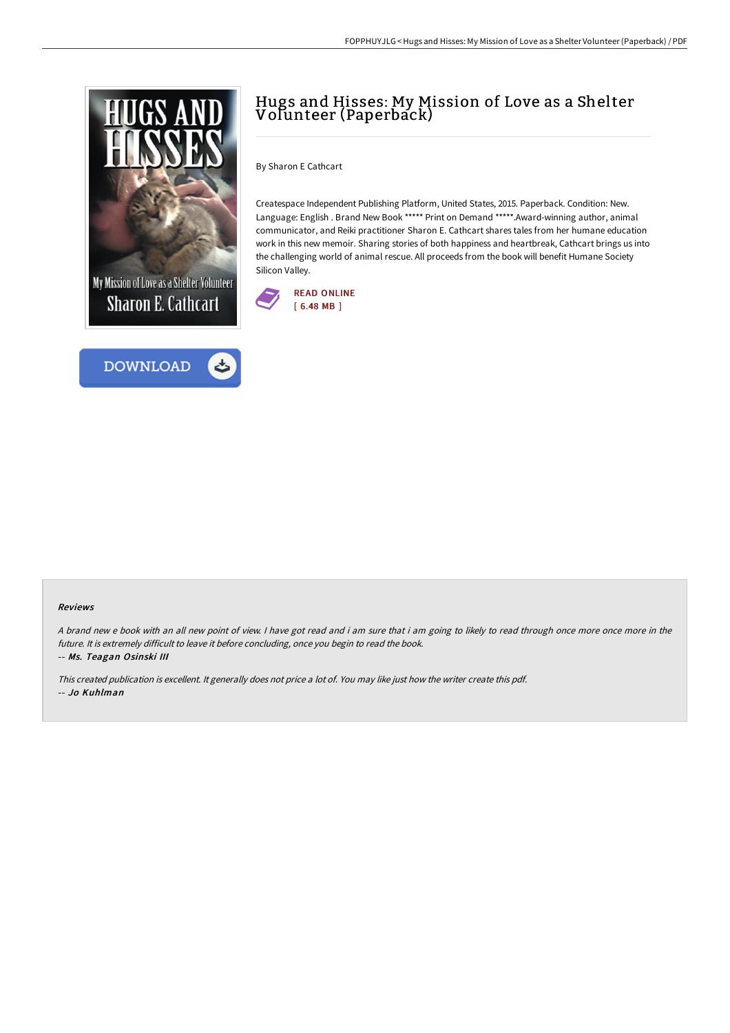



# Hugs and Hisses: My Mission of Love as a Shelter Volunteer (Paperback)

By Sharon E Cathcart

Createspace Independent Publishing Platform, United States, 2015. Paperback. Condition: New. Language: English . Brand New Book \*\*\*\*\* Print on Demand \*\*\*\*\*.Award-winning author, animal communicator, and Reiki practitioner Sharon E. Cathcart shares tales from her humane education work in this new memoir. Sharing stories of both happiness and heartbreak, Cathcart brings us into the challenging world of animal rescue. All proceeds from the book will benefit Humane Society Silicon Valley.



#### Reviews

<sup>A</sup> brand new <sup>e</sup> book with an all new point of view. <sup>I</sup> have got read and i am sure that i am going to likely to read through once more once more in the future. It is extremely difficult to leave it before concluding, once you begin to read the book. -- Ms. Teagan Osinski III

This created publication is excellent. It generally does not price <sup>a</sup> lot of. You may like just how the writer create this pdf. -- Jo Kuhlman